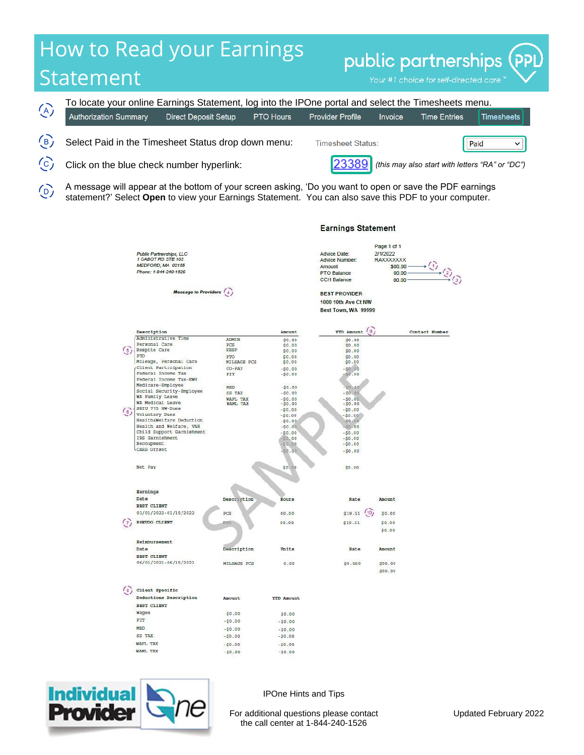## How to Read your Earnings public partnerships Statement



A message will appear at the bottom of your screen asking, 'Do you want to open or save the PDF earnings statement?' Select **Open** to view your Earnings Statement. You can also save this PDF to your computer.  $\overline{(\rho)}$ 

|                             | Public Partnerships, LLC<br>1 CABOT RD STE 102<br>MEDFORD, MA 02155<br>Phone: 1-844-240-1526 |                      |                      | Advice Date:<br>Advice Number:<br>Amount<br>PTO Balance<br><b>CCH Balance</b> | $-1$<br>2/1/2022<br>RAXXXXXXX<br>\$00.00<br>00:00<br>00.00 | $\odot$        |
|-----------------------------|----------------------------------------------------------------------------------------------|----------------------|----------------------|-------------------------------------------------------------------------------|------------------------------------------------------------|----------------|
|                             | Message to Providers (4)                                                                     |                      |                      | <b>BEST PROVIDER</b>                                                          |                                                            |                |
|                             |                                                                                              |                      |                      |                                                                               |                                                            |                |
|                             |                                                                                              |                      |                      | 1000 10th Ave Ct NW                                                           |                                                            |                |
|                             |                                                                                              |                      |                      | Best Town, WA 99999                                                           |                                                            |                |
|                             |                                                                                              |                      |                      |                                                                               |                                                            |                |
|                             | Description                                                                                  |                      | Amount               | <b>YTD Amount</b>                                                             | $\overline{9}$                                             | Contact Number |
|                             | Administrative Time                                                                          | <b>ADMIN</b>         | \$0.00               | \$0.00                                                                        |                                                            |                |
|                             | Personal Care                                                                                | PCS                  | \$0.00               | \$0.00                                                                        |                                                            |                |
| $\frac{5}{3}$               | Respite Care                                                                                 | <b>RESP</b>          | \$0.00               | \$0.00                                                                        |                                                            |                |
|                             | PTO                                                                                          | PTO                  | SO.00                | \$0.00                                                                        |                                                            |                |
|                             | Mileage, Personal Care                                                                       | MILEAGE PCS          | \$0.00               | \$0.00                                                                        |                                                            |                |
|                             | Client Participation                                                                         | CO-PAY               | $-50.00$             | $-50.00$                                                                      |                                                            |                |
|                             | Federal Income Tax                                                                           | FIT                  | $-50.00$             | SO.00                                                                         |                                                            |                |
|                             | <b>Federal Income Tax-EWH</b><br>Medicare-Employee                                           |                      |                      |                                                                               |                                                            |                |
|                             | Social Security-Employee                                                                     | MED                  | $-50.00$             | $-50,00$                                                                      |                                                            |                |
|                             | WA Family Leave                                                                              | SS TAX               | $-$0.00$             | $-50.00$                                                                      |                                                            |                |
|                             | WA Medical Leave                                                                             | WAFL TAX<br>WAML TAX | $-50.00$             | $-50.00$                                                                      |                                                            |                |
|                             | SEIU 775 NW-Dues                                                                             |                      | $-$0.00$<br>$-50.00$ | $-$0.00$<br>$-50.00$                                                          |                                                            |                |
| $\binom{6}{ }$              | Voluntary Dues                                                                               |                      | $-50.00$             | $-50.00$                                                                      |                                                            |                |
|                             | Health&Welfare Deduction                                                                     |                      | $-50.00$             | SO,00                                                                         |                                                            |                |
|                             | Health and Welfare, VAR                                                                      |                      | $-50.00$             | \$0.00                                                                        |                                                            |                |
|                             | Child Support Garnishment                                                                    |                      | $-50.00$             | $-50.00$                                                                      |                                                            |                |
|                             | IRS Garnishment                                                                              |                      | $-50,00$             | $-50.00$                                                                      |                                                            |                |
|                             | Recoupment                                                                                   |                      | $-50.00$             | $-50.00$                                                                      |                                                            |                |
|                             | CARS Offset                                                                                  |                      | SO.00                | $-50.00$                                                                      |                                                            |                |
|                             |                                                                                              |                      |                      |                                                                               |                                                            |                |
|                             | Net Pay                                                                                      |                      | \$0.00               | \$0.00                                                                        |                                                            |                |
|                             |                                                                                              |                      |                      |                                                                               |                                                            |                |
|                             |                                                                                              |                      |                      |                                                                               |                                                            |                |
|                             | Earnings                                                                                     |                      |                      |                                                                               |                                                            |                |
|                             | Date                                                                                         | Description          | Hours                | Rate                                                                          | Amount                                                     |                |
|                             | BEST CLIENT                                                                                  |                      |                      |                                                                               |                                                            |                |
|                             | 01/01/2022-01/15/2022                                                                        | PCS                  | 00.00                | \$19.51                                                                       | (10)<br>\$0.00                                             |                |
| $\mathcal{L}_{\mathcal{L}}$ | PSEUDO CLIENT                                                                                | PIO                  | 00.00                | \$19.51                                                                       | \$0.00                                                     |                |
|                             |                                                                                              |                      |                      |                                                                               |                                                            |                |
|                             |                                                                                              |                      |                      |                                                                               | \$0.00                                                     |                |
|                             | Reimbursement                                                                                |                      |                      |                                                                               |                                                            |                |
|                             | Date                                                                                         |                      |                      |                                                                               |                                                            |                |
|                             |                                                                                              | Description          | Units                | Rate                                                                          | Amount                                                     |                |
|                             | BEST CLIENT                                                                                  |                      |                      |                                                                               |                                                            |                |
|                             | 06/01/2021-06/15/2021                                                                        | MILEAGE PCS          | 0.00                 | \$0.560                                                                       | \$00.00                                                    |                |
|                             |                                                                                              |                      |                      |                                                                               | \$00.00                                                    |                |
|                             |                                                                                              |                      |                      |                                                                               |                                                            |                |
| $\binom{8}{3}$              | Client Specific                                                                              |                      |                      |                                                                               |                                                            |                |
|                             |                                                                                              |                      |                      |                                                                               |                                                            |                |
|                             | Deductions Description                                                                       | Amount               | <b>YTD Amount</b>    |                                                                               |                                                            |                |
|                             | <b>BEST CLIENT</b>                                                                           |                      |                      |                                                                               |                                                            |                |
|                             | Wages                                                                                        | \$0.00               | \$0.00               |                                                                               |                                                            |                |
|                             | FIT                                                                                          | $-50.00$             | $-50.00$             |                                                                               |                                                            |                |
|                             | MED                                                                                          | $-50.00$             |                      |                                                                               |                                                            |                |
|                             | SS TAX                                                                                       |                      | $-50.00$             |                                                                               |                                                            |                |
|                             |                                                                                              | $-50.00$             | $-50.00$             |                                                                               |                                                            |                |
|                             | WAFL TAX                                                                                     | $-50.00$             | $-50.00$             |                                                                               |                                                            |                |
|                             | WAML TAX                                                                                     | $-50.00$             | $-50.00$             |                                                                               |                                                            |                |



Dana 1 of 1



IPOne Hints and Tips

For additional questions please contact the call center at 1-844-240-1526